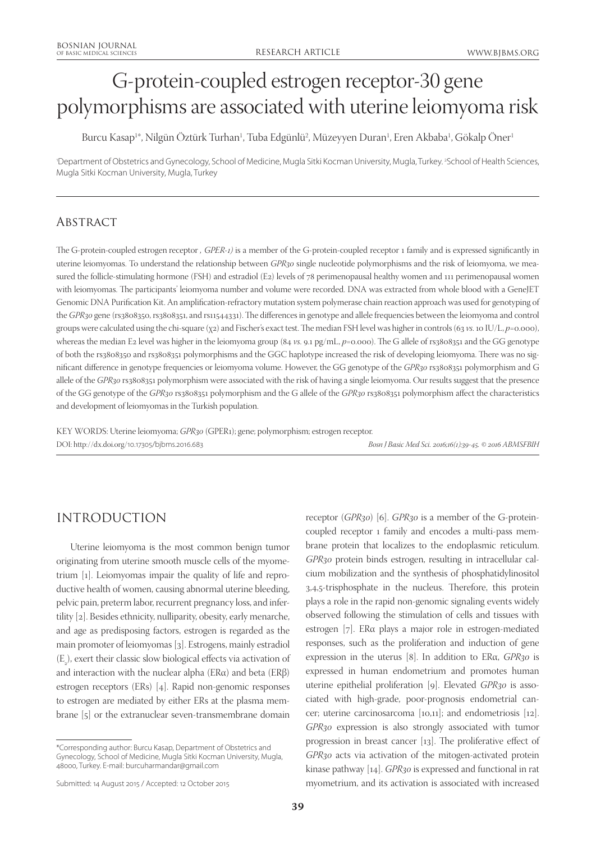# G-protein-coupled estrogen receptor-30 gene polymorphisms are associated with uterine leiomyoma risk

Burcu Kasap1\*, Nilgün Oztürk Turhan<sup>1</sup>, Tuba Edgünlü<sup>2</sup>, Müzeyyen Duran<sup>1</sup>, Eren Akbaba<sup>1</sup>, Gökalp Oner<sup>1</sup>

'Department of Obstetrics and Gynecology, School of Medicine, Mugla Sitki Kocman University, Mugla, Turkey. <sup>2</sup>School of Health Sciences, Mugla Sitki Kocman University, Mugla, Turkey

# **ABSTRACT**

The G-protein-coupled estrogen receptor *, GPER-1)* is a member of the G-protein-coupled receptor 1 family and is expressed significantly in uterine leiomyomas. To understand the relationship between *GPR30* single nucleotide polymorphisms and the risk of leiomyoma, we measured the follicle-stimulating hormone (FSH) and estradiol (E2) levels of 78 perimenopausal healthy women and 111 perimenopausal women with leiomyomas. The participants' leiomyoma number and volume were recorded. DNA was extracted from whole blood with a GeneJET Genomic DNA Purification Kit. An amplification-refractory mutation system polymerase chain reaction approach was used for genotyping of the *GPR30* gene (rs3808350, rs3808351, and rs11544331). The differences in genotype and allele frequencies between the leiomyoma and control groups were calculated using the chi-square (χ2) and Fischer's exact test. The median FSH level was higher in controls (63 *vs*. 10 IU/L, *p*=0.000), whereas the median E2 level was higher in the leiomyoma group (84 *vs*. 9.1 pg/mL, *p*=0.000). The G allele of rs3808351 and the GG genotype of both the rs3808350 and rs3808351 polymorphisms and the GGC haplotype increased the risk of developing leiomyoma. There was no significant difference in genotype frequencies or leiomyoma volume. However, the GG genotype of the *GPR30* rs3808351 polymorphism and G allele of the *GPR30* rs3808351 polymorphism were associated with the risk of having a single leiomyoma. Our results suggest that the presence of the GG genotype of the *GPR30* rs3808351 polymorphism and the G allele of the *GPR30* rs3808351 polymorphism affect the characteristics and development of leiomyomas in the Turkish population.

KEY WORDS: Uterine leiomyoma; *GPR30* (GPER1); gene; polymorphism; estrogen receptor. DOI: http://dx.doi.org/10.17305/bjbms.2016.683 *Bosn J Basic Med Sci. 2016;16(1):39-45. © 2016 ABMSFBIH*

# INTRODUCTION

Uterine leiomyoma is the most common benign tumor originating from uterine smooth muscle cells of the myometrium [1]. Leiomyomas impair the quality of life and reproductive health of women, causing abnormal uterine bleeding, pelvic pain, preterm labor, recurrent pregnancy loss, and infertility [2]. Besides ethnicity, nulliparity, obesity, early menarche, and age as predisposing factors, estrogen is regarded as the main promoter of leiomyomas [3]. Estrogens, mainly estradiol  $(E_2)$ , exert their classic slow biological effects via activation of and interaction with the nuclear alpha (ERα) and beta (ERβ) estrogen receptors (ERs) [4]. Rapid non-genomic responses to estrogen are mediated by either ERs at the plasma membrane [5] or the extranuclear seven-transmembrane domain

receptor (*GPR30*) [6]. *GPR30* is a member of the G-proteincoupled receptor 1 family and encodes a multi-pass membrane protein that localizes to the endoplasmic reticulum. *GPR30* protein binds estrogen, resulting in intracellular calcium mobilization and the synthesis of phosphatidylinositol 3,4,5-trisphosphate in the nucleus. Therefore, this protein plays a role in the rapid non-genomic signaling events widely observed following the stimulation of cells and tissues with estrogen [7]. ERα plays a major role in estrogen-mediated responses, such as the proliferation and induction of gene expression in the uterus [8]. In addition to ERα, *GPR30* is expressed in human endometrium and promotes human uterine epithelial proliferation [9]. Elevated *GPR30* is associated with high-grade, poor-prognosis endometrial cancer; uterine carcinosarcoma [10,11]; and endometriosis [12]. *GPR30* expression is also strongly associated with tumor progression in breast cancer [13]. The proliferative effect of *GPR30* acts via activation of the mitogen-activated protein kinase pathway [14]. *GPR30* is expressed and functional in rat myometrium, and its activation is associated with increased

<sup>\*</sup>Corresponding author: Burcu Kasap, Department of Obstetrics and Gynecology, School of Medicine, Mugla Sitki Kocman University, Mugla, 48000, Turkey. E-mail: burcuharmandar@gmail.com

Submitted: 14 August 2015 / Accepted: 12 October 2015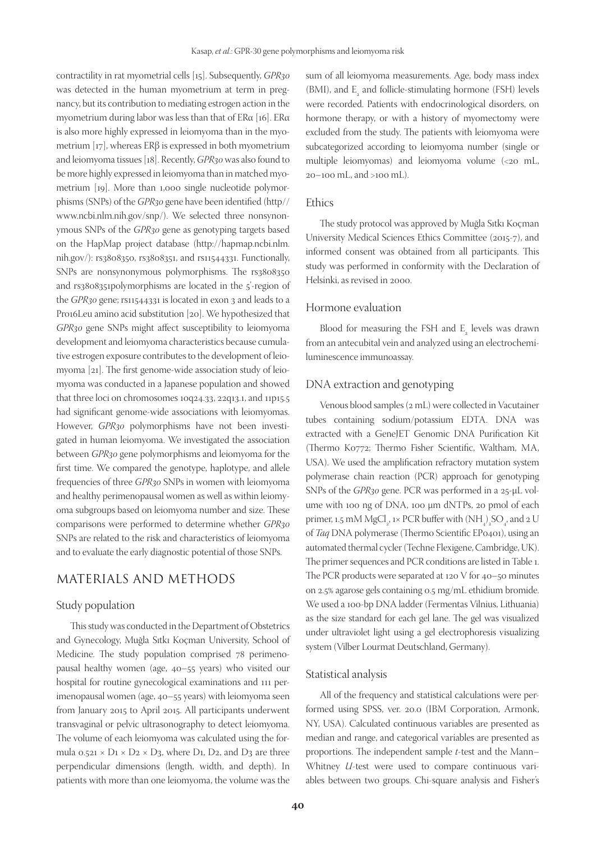contractility in rat myometrial cells [15]. Subsequently, *GPR30* was detected in the human myometrium at term in pregnancy, but its contribution to mediating estrogen action in the myometrium during labor was less than that of  $ER\alpha$  [16].  $ER\alpha$ is also more highly expressed in leiomyoma than in the myometrium [17], whereas ERβ is expressed in both myometrium and leiomyoma tissues [18]. Recently, *GPR30* was also found to be more highly expressed in leiomyoma than in matched myometrium [19]. More than 1,000 single nucleotide polymorphisms (SNPs) of the *GPR30* gene have been identified (http// www.ncbi.nlm.nih.gov/snp/). We selected three nonsynonymous SNPs of the *GPR30* gene as genotyping targets based on the HapMap project database (http://hapmap.ncbi.nlm. nih.gov/): rs3808350, rs3808351, and rs11544331. Functionally, SNPs are nonsynonymous polymorphisms. The rs3808350 and rs3808351polymorphisms are located in the 5'-region of the *GPR30* gene; rs11544331 is located in exon 3 and leads to a Pro16Leu amino acid substitution [20]. We hypothesized that *GPR30* gene SNPs might affect susceptibility to leiomyoma development and leiomyoma characteristics because cumulative estrogen exposure contributes to the development of leiomyoma [21]. The first genome-wide association study of leiomyoma was conducted in a Japanese population and showed that three loci on chromosomes 10q24.33, 22q13.1, and 11p15.5 had significant genome-wide associations with leiomyomas. However, *GPR30* polymorphisms have not been investigated in human leiomyoma. We investigated the association between *GPR30* gene polymorphisms and leiomyoma for the first time. We compared the genotype, haplotype, and allele frequencies of three *GPR30* SNPs in women with leiomyoma and healthy perimenopausal women as well as within leiomyoma subgroups based on leiomyoma number and size. These comparisons were performed to determine whether *GPR30* SNPs are related to the risk and characteristics of leiomyoma and to evaluate the early diagnostic potential of those SNPs.

# MATERIALS AND METHODS

## Study population

This study was conducted in the Department of Obstetrics and Gynecology, Muğla Sıtkı Koçman University, School of Medicine. The study population comprised 78 perimenopausal healthy women (age, 40–55 years) who visited our hospital for routine gynecological examinations and 111 perimenopausal women (age, 40–55 years) with leiomyoma seen from January 2015 to April 2015. All participants underwent transvaginal or pelvic ultrasonography to detect leiomyoma. The volume of each leiomyoma was calculated using the formula  $0.521 \times D1 \times D2 \times D3$ , where D1, D2, and D3 are three perpendicular dimensions (length, width, and depth). In patients with more than one leiomyoma, the volume was the

sum of all leiomyoma measurements. Age, body mass index  $(BMI)$ , and  $E<sub>2</sub>$  and follicle-stimulating hormone (FSH) levels were recorded. Patients with endocrinological disorders, on hormone therapy, or with a history of myomectomy were excluded from the study. The patients with leiomyoma were subcategorized according to leiomyoma number (single or multiple leiomyomas) and leiomyoma volume (<20 mL, 20–100 mL, and >100 mL).

#### Ethics

The study protocol was approved by Muğla Sıtkı Koçman University Medical Sciences Ethics Committee (2015-7), and informed consent was obtained from all participants. This study was performed in conformity with the Declaration of Helsinki, as revised in 2000.

#### Hormone evaluation

Blood for measuring the FSH and  $E_{\rm z}$  levels was drawn from an antecubital vein and analyzed using an electrochemiluminescence immunoassay.

#### DNA extraction and genotyping

Venous blood samples (2 mL) were collected in Vacutainer tubes containing sodium/potassium EDTA. DNA was extracted with a GeneJET Genomic DNA Purification Kit (Thermo K0772; Thermo Fisher Scientific, Waltham, MA, USA). We used the amplification refractory mutation system polymerase chain reaction (PCR) approach for genotyping SNPs of the *GPR30* gene. PCR was performed in a 25-μL volume with 100 ng of DNA, 100 μm dNTPs, 20 pmol of each primer, 1.5 mM  $MgCl<sub>2</sub>$ , 1× PCR buffer with  $(\mathrm{NH}_{4})_{2}\mathrm{SO}_{4}$ , and 2 U of *Taq* DNA polymerase (Thermo Scientific EP0401), using an automated thermal cycler (Techne Flexigene, Cambridge, UK). The primer sequences and PCR conditions are listed in Table 1. The PCR products were separated at 120 V for 40–50 minutes on 2.5% agarose gels containing 0.5 mg/mL ethidium bromide. We used a 100-bp DNA ladder (Fermentas Vilnius, Lithuania) as the size standard for each gel lane. The gel was visualized under ultraviolet light using a gel electrophoresis visualizing system (Vilber Lourmat Deutschland, Germany).

#### Statistical analysis

All of the frequency and statistical calculations were performed using SPSS, ver. 20.0 (IBM Corporation, Armonk, NY, USA). Calculated continuous variables are presented as median and range, and categorical variables are presented as proportions. The independent sample *t*-test and the Mann– Whitney *U*-test were used to compare continuous variables between two groups. Chi-square analysis and Fisher's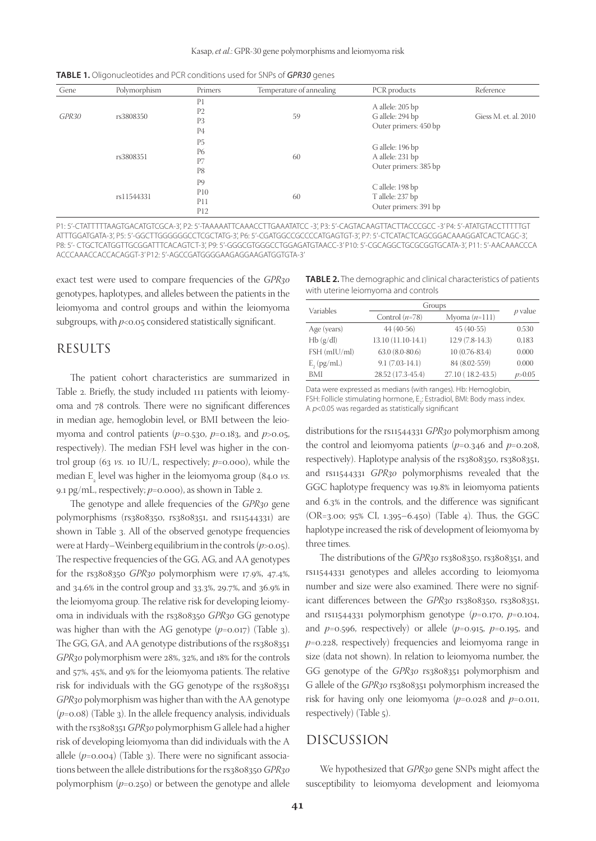| <b>TABLE 1.</b> Oligonucleotides and PCR conditions used for SNPs of <b>GPR30</b> genes |  |  |
|-----------------------------------------------------------------------------------------|--|--|
|-----------------------------------------------------------------------------------------|--|--|

| Gene              | Polymorphism | Primers                                                              | Temperature of annealing                                            | PCR products                                                  | Reference             |
|-------------------|--------------|----------------------------------------------------------------------|---------------------------------------------------------------------|---------------------------------------------------------------|-----------------------|
| GPR <sub>30</sub> | rs3808350    | P <sub>1</sub><br>P <sub>2</sub><br>P <sub>3</sub><br>P <sub>4</sub> | 59                                                                  | A allele: 205 bp<br>G allele: 294 bp<br>Outer primers: 450 bp | Giess M. et. al. 2010 |
|                   | rs3808351    | P <sub>5</sub><br><b>P6</b><br>P7<br>P8                              | 60                                                                  | G allele: 196 bp<br>A allele: 231 bp<br>Outer primers: 385 bp |                       |
|                   | rs11544331   | P <sub>9</sub><br>P10<br>P11<br>P12                                  | C allele: 198 bp<br>T allele: 237 bp<br>60<br>Outer primers: 391 bp |                                                               |                       |

P1: 5'-CTATTTTTAAGTGACATGTCGCA-3', P2: 5'-TAAAAATTCAAACCTTGAAATATCC -3', P3: 5'-CAGTACAAGTTACTTACCCGCC -3' P4: 5'-ATATGTACCTTTTTGT ATTTGGATGATA-3', P5: 5'-GGCTTGGGGGGCCTCGCTATG-3', P6: 5'-CGATGGCCGCCCCATGAGTGT-3', P7: 5'-CTCATACTCAGCGGACAAAGGATCACTCAGC-3', P8: 5'- CTGCTCATGGTTGCGGATTTCACAGTCT-3', P9: 5'-GGGCGTGGGCCTGGAGATGTAACC-3' P10: 5'-CGCAGGCTGCGCGGTGCATA-3', P11: 5'-AACAAACCCA ACCCAAACCACCACAGGT-3' P12: 5'-AGCCGATGGGGAAGAGGAAGATGGTGTA-3'

exact test were used to compare frequencies of the *GPR30* genotypes, haplotypes, and alleles between the patients in the leiomyoma and control groups and within the leiomyoma subgroups, with  $p<$  0.05 considered statistically significant.

## RESULTS

The patient cohort characteristics are summarized in Table 2. Briefly, the study included 111 patients with leiomyoma and 78 controls. There were no significant differences in median age, hemoglobin level, or BMI between the leiomyoma and control patients (*p*=0.530, *p*=0.183, and *p*>0.05, respectively). The median FSH level was higher in the control group (63 *vs.* 10 IU/L, respectively;  $p$ =0.000), while the median E2 level was higher in the leiomyoma group (84.0 *vs*. 9.1 pg/mL, respectively; *p*=0.000), as shown in Table 2.

The genotype and allele frequencies of the *GPR30* gene polymorphisms (rs3808350, rs3808351, and rs11544331) are shown in Table 3. All of the observed genotype frequencies were at Hardy–Weinberg equilibrium in the controls (*p*>0.05). The respective frequencies of the GG, AG, and AA genotypes for the rs3808350 *GPR30* polymorphism were 17.9%, 47.4%, and 34.6% in the control group and 33.3%, 29.7%, and 36.9% in the leiomyoma group. The relative risk for developing leiomyoma in individuals with the rs3808350 *GPR30* GG genotype was higher than with the AG genotype ( $p$ =0.017) (Table 3). The GG, GA, and AA genotype distributions of the rs3808351 *GPR30* polymorphism were 28%, 32%, and 18% for the controls and 57%, 45%, and 9% for the leiomyoma patients. The relative risk for individuals with the GG genotype of the rs3808351 *GPR30* polymorphism was higher than with the AA genotype (*p*=0.08) (Table 3). In the allele frequency analysis, individuals with the rs3808351 *GPR30* polymorphism G allele had a higher risk of developing leiomyoma than did individuals with the A allele  $(p=0.004)$  (Table 3). There were no significant associations between the allele distributions for the rs3808350 *GPR30* polymorphism (*p*=0.250) or between the genotype and allele

| <b>TABLE 2.</b> The demographic and clinical characteristics of patients |
|--------------------------------------------------------------------------|
| with uterine leiomyoma and controls                                      |

| Variables       | Groups             |                   |           |  |
|-----------------|--------------------|-------------------|-----------|--|
|                 | Control $(n=78)$   | Myoma $(n=111)$   | $p$ value |  |
| Age (years)     | $44(40-56)$        | $45(40-55)$       | 0.530     |  |
| Hb(g/dl)        | 13.10 (11.10-14.1) | 12.9 (7.8-14.3)   | 0,183     |  |
| FSH (mIU/ml)    | $63.0(8.0-80.6)$   | $10(0.76 - 83.4)$ | 0.000     |  |
| $E_{2}$ (pg/mL) | $9.1(7.03-14.1)$   | 84 (8.02-559)     | 0.000     |  |
| BMI             | 28.52 (17.3-45.4)  | 27.10 (18.2-43.5) | p > 0.05  |  |

Data were expressed as medians (with ranges). Hb: Hemoglobin, FSH: Follicle stimulating hormone, E<sub>2</sub>: Estradiol, BMI: Body mass index. A  $p$ <0.05 was regarded as statistically significant

distributions for the rs11544331 *GPR30* polymorphism among the control and leiomyoma patients (*p*=0.346 and *p*=0.208, respectively). Haplotype analysis of the rs3808350, rs3808351, and rs11544331 *GPR30* polymorphisms revealed that the GGC haplotype frequency was 19.8% in leiomyoma patients and 6.3% in the controls, and the difference was significant (OR=3.00; 95% CI, 1.395–6.450) (Table 4). Thus, the GGC haplotype increased the risk of development of leiomyoma by three times.

The distributions of the *GPR30* rs3808350, rs3808351, and rs11544331 genotypes and alleles according to leiomyoma number and size were also examined. There were no significant differences between the *GPR30* rs3808350, rs3808351, and rs11544331 polymorphism genotype (*p*=0.170, *p*=0.104, and *p*=0.596, respectively) or allele (*p*=0.915, *p*=0.195, and *p*=0.228, respectively) frequencies and leiomyoma range in size (data not shown). In relation to leiomyoma number, the GG genotype of the *GPR30* rs3808351 polymorphism and G allele of the *GPR30* rs3808351 polymorphism increased the risk for having only one leiomyoma (*p*=0.028 and *p*=0.011, respectively) (Table 5).

# DISCUSSION

We hypothesized that *GPR30* gene SNPs might affect the susceptibility to leiomyoma development and leiomyoma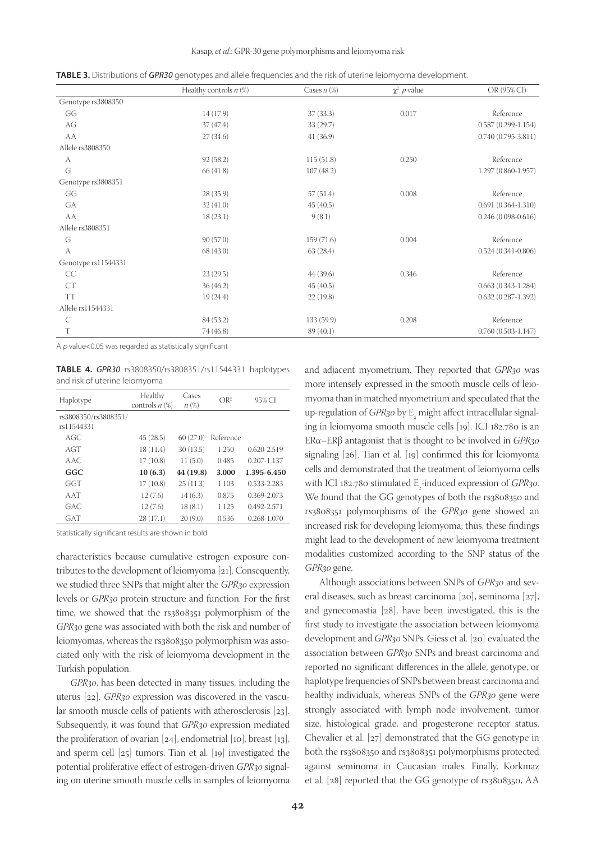Kasap, *et al*.: GPR-30 gene polymorphisms and leiomyoma risk

**TABLE 3.** Distributions of *GPR30* genotypes and allele frequencies and the risk of uterine leiomyoma development.

|                     | Healthy controls $n$ (%) | Cases $n$ (%) | $\chi^2$ p value | OR (95% CI)            |  |
|---------------------|--------------------------|---------------|------------------|------------------------|--|
| Genotype rs3808350  |                          |               |                  |                        |  |
| GG                  | 14(17.9)                 | 37(33.3)      | 0.017            | Reference              |  |
| AG                  | 37(47.4)                 | 33(29.7)      |                  | $0.587(0.299 - 1.154)$ |  |
| AA                  | 27(34.6)                 | 41(36.9)      |                  | $0.740(0.795-3.811)$   |  |
| Allele rs3808350    |                          |               |                  |                        |  |
| A                   | 92(58.2)                 | 115(51.8)     | 0.250            | Reference              |  |
| G                   | 66 (41.8)                | 107(48.2)     |                  | $1.297(0.860-1.957)$   |  |
| Genotype rs3808351  |                          |               |                  |                        |  |
| GG                  | 28(35.9)                 | 57(51.4)      | 0.008            | Reference              |  |
| GA                  | 32(41.0)                 | 45(40.5)      |                  | $0.691(0.364 - 1.310)$ |  |
| AA                  | 18(23.1)                 | 9(8.1)        |                  | $0.246(0.098-0.616)$   |  |
| Allele rs3808351    |                          |               |                  |                        |  |
| G                   | 90(57.0)                 | 159 (71.6)    | 0.004            | Reference              |  |
| A                   | 68(43.0)                 | 63(28.4)      |                  | $0.524(0.341 - 0.806)$ |  |
| Genotype rs11544331 |                          |               |                  |                        |  |
| CC                  | 23(29.5)                 | 44(39.6)      | 0.346            | Reference              |  |
| CT                  | 36(46.2)                 | 45(40.5)      |                  | $0.663(0.343-1.284)$   |  |
| <b>TT</b>           | 19 (24.4)                | 22(19.8)      |                  | $0.632(0.287 - 1.392)$ |  |
| Allele rs11544331   |                          |               |                  |                        |  |
| $\mathsf{C}$        | 84 (53.2)                | 133 (59.9)    | 0.208            | Reference              |  |
| T                   | 74 (46.8)                | 89(40.1)      |                  | $0.760(0.503 - 1.147)$ |  |

A <sup>p</sup> value<0.05 was regarded as statistically significant

**TABLE 4.** *GPR30* rs3808350/rs3808351/rs11544331 haplotypes and risk of uterine leiomyoma

| Haplotype            | Healthy<br>controls $n$ $(\%)$ | Cases<br>$n(\%)$ | $OR^{\ddagger}$ | 95% CI          |
|----------------------|--------------------------------|------------------|-----------------|-----------------|
| rs3808350/rs3808351/ |                                |                  |                 |                 |
| rs11544331           |                                |                  |                 |                 |
| AGC                  | 45(28.5)                       | 60(27.0)         | Reference       |                 |
| AGT                  | 18 (11.4)                      | 30(13.5)         | 1.250           | 0.620-2.519     |
| A AC.                | 17(10.8)                       | 11(5.0)          | 0.485           | $0.207 - 1.137$ |
| GGC                  | 10(6.3)                        | 44 (19.8)        | 3.000           | 1.395-6.450     |
| GGT                  | 17(10.8)                       | 25(11.3)         | 1.103           | 0.533-2.283     |
| AAT                  | 12(7.6)                        | 14(6.3)          | 0.875           | 0.369-2.073     |
| GAC.                 | 12(7.6)                        | 18(8.1)          | 1.125           | $0.492 - 2.571$ |
| <b>GAT</b>           | 28(17.1)                       | 20(9.0)          | 0.536           | 0.268-1.070     |

Statistically significant results are shown in bold

characteristics because cumulative estrogen exposure contributes to the development of leiomyoma [21]. Consequently, we studied three SNPs that might alter the *GPR30* expression levels or *GPR30* protein structure and function. For the first time, we showed that the rs3808351 polymorphism of the *GPR30* gene was associated with both the risk and number of leiomyomas, whereas the rs3808350 polymorphism was associated only with the risk of leiomyoma development in the Turkish population.

*GPR30*, has been detected in many tissues, including the uterus [22]. *GPR30* expression was discovered in the vascular smooth muscle cells of patients with atherosclerosis [23]. Subsequently, it was found that *GPR30* expression mediated the proliferation of ovarian  $[24]$ , endometrial  $[10]$ , breast  $[13]$ , and sperm cell [25] tumors. Tian et al. [19] investigated the potential proliferative effect of estrogen-driven *GPR30* signaling on uterine smooth muscle cells in samples of leiomyoma

and adjacent myometrium. They reported that *GPR30* was more intensely expressed in the smooth muscle cells of leiomyoma than in matched myometrium and speculated that the up-regulation of *GPR30* by E<sub>2</sub> might affect intracellular signaling in leiomyoma smooth muscle cells [19]. ICI 182.780 is an ERα–ERβ antagonist that is thought to be involved in *GPR30* signaling [26]. Tian et al. [19] confirmed this for leiomyoma cells and demonstrated that the treatment of leiomyoma cells with ICI 182.780 stimulated E<sub>2</sub>-induced expression of *GPR30*. We found that the GG genotypes of both the rs3808350 and rs3808351 polymorphisms of the *GPR30* gene showed an increased risk for developing leiomyoma; thus, these findings might lead to the development of new leiomyoma treatment modalities customized according to the SNP status of the *GPR30* gene.

Although associations between SNPs of *GPR30* and several diseases, such as breast carcinoma [20], seminoma [27], and gynecomastia [28], have been investigated, this is the first study to investigate the association between leiomyoma development and *GPR30* SNPs. Giess et al. [20] evaluated the association between *GPR30* SNPs and breast carcinoma and reported no significant differences in the allele, genotype, or haplotype frequencies of SNPs between breast carcinoma and healthy individuals, whereas SNPs of the *GPR30* gene were strongly associated with lymph node involvement, tumor size, histological grade, and progesterone receptor status. Chevalier et al. [27] demonstrated that the GG genotype in both the rs3808350 and rs3808351 polymorphisms protected against seminoma in Caucasian males. Finally, Korkmaz et al. [28] reported that the GG genotype of rs3808350, AA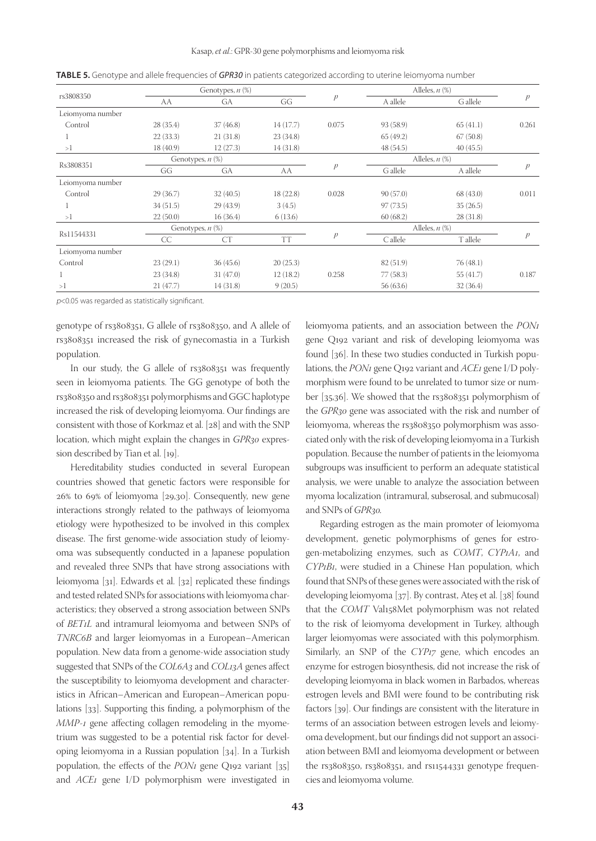|                  |           | Genotypes, $n$ $(\%)$ |           |               |                     | Alleles, $n$ $(\%)$ |               |
|------------------|-----------|-----------------------|-----------|---------------|---------------------|---------------------|---------------|
| rs3808350        | AA        | GA                    | GG        | p             | A allele            | G allele            | $\mathcal{P}$ |
| Leiomyoma number |           |                       |           |               |                     |                     |               |
| Control          | 28(35.4)  | 37(46.8)              | 14(17.7)  | 0.075         | 93 (58.9)           | 65(41.1)            | 0.261         |
|                  | 22(33.3)  | 21(31.8)              | 23(34.8)  |               | 65(49.2)            | 67(50.8)            |               |
| >1               | 18 (40.9) | 12(27.3)              | 14(31.8)  |               | 48(54.5)            | 40(45.5)            |               |
|                  |           | Genotypes, $n$ $(\%)$ |           |               |                     | Alleles, $n$ $(\%)$ |               |
| Rs3808351        | GG        | GA                    | AA        | $\mathcal{P}$ | G allele            | A allele            | p             |
| Leiomyoma number |           |                       |           |               |                     |                     |               |
| Control          | 29(36.7)  | 32(40.5)              | 18(22.8)  | 0.028         | 90(57.0)            | 68 (43.0)           | 0.011         |
|                  | 34(51.5)  | 29(43.9)              | 3(4.5)    |               | 97(73.5)            | 35(26.5)            |               |
| >1               | 22(50.0)  | 16(36.4)              | 6(13.6)   |               | 60(68.2)            | 28(31.8)            |               |
| Rs11544331       |           | Genotypes, $n$ $(\%)$ |           |               | Alleles, $n$ $(\%)$ |                     |               |
|                  | CC        | CT                    | <b>TT</b> | p             | $C$ allele          | T allele            | p             |
| Leiomyoma number |           |                       |           |               |                     |                     |               |
| Control          | 23(29.1)  | 36(45.6)              | 20(25.3)  |               | 82 (51.9)           | 76(48.1)            |               |
| 1                | 23(34.8)  | 31(47.0)              | 12(18.2)  | 0.258         | 77(58.3)            | 55 (41.7)           | 0.187         |
| >1               | 21(47.7)  | 14(31.8)              | 9(20.5)   |               | 56(63.6)            | 32(36.4)            |               |

**TABLE 5.** Genotype and allele frequencies of *GPR30* in patients categorized according to uterine leiomyoma number

 $p$ <0.05 was regarded as statistically significant.

genotype of rs3808351, G allele of rs3808350, and A allele of rs3808351 increased the risk of gynecomastia in a Turkish population.

In our study, the G allele of rs3808351 was frequently seen in leiomyoma patients. The GG genotype of both the rs3808350 and rs3808351 polymorphisms and GGC haplotype increased the risk of developing leiomyoma. Our findings are consistent with those of Korkmaz et al. [28] and with the SNP location, which might explain the changes in *GPR30* expression described by Tian et al. [19].

Hereditability studies conducted in several European countries showed that genetic factors were responsible for 26% to 69% of leiomyoma [29,30]. Consequently, new gene interactions strongly related to the pathways of leiomyoma etiology were hypothesized to be involved in this complex disease. The first genome-wide association study of leiomyoma was subsequently conducted in a Japanese population and revealed three SNPs that have strong associations with leiomyoma [31]. Edwards et al. [32] replicated these findings and tested related SNPs for associations with leiomyoma characteristics; they observed a strong association between SNPs of *BET1L* and intramural leiomyoma and between SNPs of *TNRC6B* and larger leiomyomas in a European–American population. New data from a genome-wide association study suggested that SNPs of the *COL6A3* and *COL13A* genes affect the susceptibility to leiomyoma development and characteristics in African–American and European–American populations [33]. Supporting this finding, a polymorphism of the *MMP-1* gene affecting collagen remodeling in the myometrium was suggested to be a potential risk factor for developing leiomyoma in a Russian population [34]. In a Turkish population, the effects of the *PON1* gene Q192 variant [35] and *ACE1* gene I/D polymorphism were investigated in

leiomyoma patients, and an association between the *PON1* gene Q192 variant and risk of developing leiomyoma was found [36]. In these two studies conducted in Turkish populations, the *PON1* gene Q192 variant and *ACE1* gene I/D polymorphism were found to be unrelated to tumor size or number [35,36]. We showed that the rs3808351 polymorphism of the *GPR30* gene was associated with the risk and number of leiomyoma, whereas the rs3808350 polymorphism was associated only with the risk of developing leiomyoma in a Turkish population. Because the number of patients in the leiomyoma subgroups was insufficient to perform an adequate statistical analysis, we were unable to analyze the association between myoma localization (intramural, subserosal, and submucosal) and SNPs of *GPR30.*

Regarding estrogen as the main promoter of leiomyoma development, genetic polymorphisms of genes for estrogen-metabolizing enzymes, such as *COMT*, *CYP1A1*, and *CYP1B1*, were studied in a Chinese Han population, which found that SNPs of these genes were associated with the risk of developing leiomyoma [37]. By contrast, Ateş et al. [38] found that the *COMT* Val158Met polymorphism was not related to the risk of leiomyoma development in Turkey, although larger leiomyomas were associated with this polymorphism. Similarly, an SNP of the *CYP17* gene, which encodes an enzyme for estrogen biosynthesis, did not increase the risk of developing leiomyoma in black women in Barbados, whereas estrogen levels and BMI were found to be contributing risk factors [39]. Our findings are consistent with the literature in terms of an association between estrogen levels and leiomyoma development, but our findings did not support an association between BMI and leiomyoma development or between the rs3808350, rs3808351, and rs11544331 genotype frequencies and leiomyoma volume.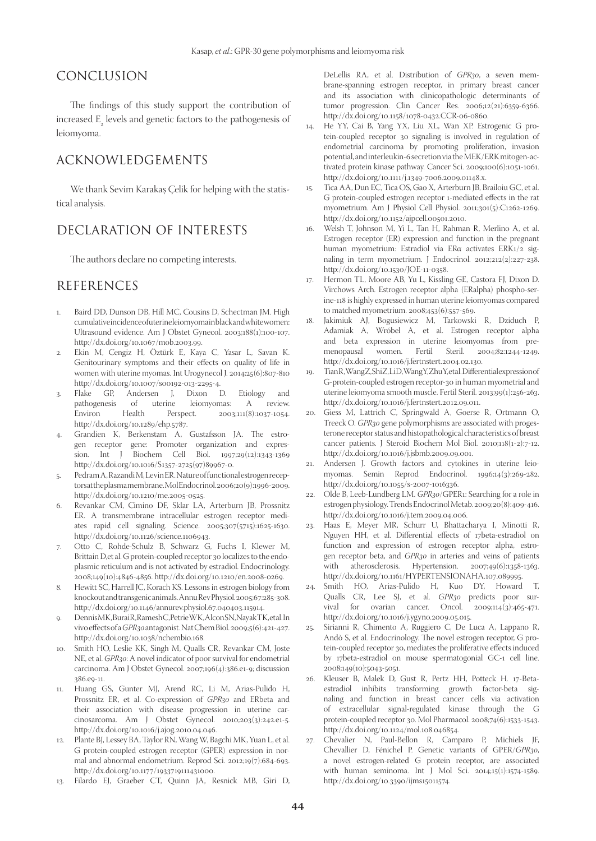# CONCLUSION

The findings of this study support the contribution of increased  $\mathbb{E}_{\mathbb{E}_{2}}$  levels and genetic factors to the pathogenesis of leiomyoma.

## ACKNOWLEDGEMENTS

We thank Sevim Karakaş Çelik for helping with the statistical analysis.

# DECLARATION OF INTERESTS

The authors declare no competing interests.

# REFERENCES

- Baird DD, Dunson DB, Hill MC, Cousins D, Schectman JM. High cumulative incidence of uterine leiomyoma in black and white women: Ultrasound evidence. Am J Obstet Gynecol. 2003;188(1):100-107. http://dx.doi.org/10.1067/mob.2003.99.
- 2. Ekin M, Cengiz H, Öztürk E, Kaya C, Yasar L, Savan K. Genitourinary symptoms and their effects on quality of life in women with uterine myomas. Int Urogynecol J. 2014;25(6):807-810 http://dx.doi.org/10.1007/s00192-013-2295-4.<br>Flake GP, Andersen J, Dixon I
- 3. Flake GP, Andersen J, Dixon D. Etiology and pathogenesis of uterine leiomyomas: A review. Environ Health Perspect. 2003;111(8):1037-1054. http://dx.doi.org/10.1289/ehp.5787.
- 4. Grandien K, Berkenstam A, Gustafsson JA. The estrogen receptor gene: Promoter organization and expression. Int J Biochem Cell Biol. 1997;29(12):1343-1369 http://dx.doi.org/10.1016/S1357-2725(97)89967-0.
- 5. Pedram A, Razandi M, Levin ER. Nature of functional estrogen receptors at the plasma membrane. Mol Endocrinol. 2006;20(9):1996-2009. http://dx.doi.org/10.1210/me.2005-0525.
- 6. Revankar CM, Cimino DF, Sklar LA, Arterburn JB, Prossnitz ER. A transmembrane intracellular estrogen receptor mediates rapid cell signaling. Science. 2005;307(5715):1625-1630. http://dx.doi.org/10.1126/science.1106943.
- 7. Otto C, Rohde-Schulz B, Schwarz G, Fuchs I, Klewer M, Brittain D,et al. G protein-coupled receptor 30 localizes to the endoplasmic reticulum and is not activated by estradiol. Endocrinology. 2008;149(10):4846-4856. http://dx.doi.org/10.1210/en.2008-0269.
- 8. Hewitt SC, Harrell JC, Korach KS. Lessons in estrogen biology from knockout and transgenic animals. Annu Rev Physiol. 2005;67:285-308. http://dx.doi.org/10.1146/annurev.physiol.67.040403.115914.
- 9. Dennis MK, Burai R, Ramesh C, Petrie WK, Alcon SN, Nayak TK, et al. In vivo effects of a *GPR30* antagonist. Nat Chem Biol. 2009;5(6):421-427. http://dx.doi.org/10.1038/nchembio.168.
- 10. Smith HO, Leslie KK, Singh M, Qualls CR, Revankar CM, Joste NE, et al. *GPR30*: A novel indicator of poor survival for endometrial carcinoma. Am J Obstet Gynecol. 2007;196(4):386.e1-9; discussion 386.e9-11.
- Huang GS, Gunter MJ, Arend RC, Li M, Arias-Pulido H, Prossnitz ER, et al. Co-expression of *GPR30* and ERbeta and their association with disease progression in uterine carcinosarcoma. Am J Obstet Gynecol. 2010;203(3):242.e1-5. http://dx.doi.org/10.1016/j.ajog.2010.04.046.
- 12. Plante BJ, Lessey BA, Taylor RN, Wang W, Bagchi MK, Yuan L, et al. G protein-coupled estrogen receptor (GPER) expression in normal and abnormal endometrium. Reprod Sci. 2012;19(7):684-693. http://dx.doi.org/10.1177/1933719111431000.
- 13. Filardo EJ, Graeber CT, Quinn JA, Resnick MB, Giri D,

DeLellis RA, et al. Distribution of *GPR30*, a seven membrane-spanning estrogen receptor, in primary breast cancer and its association with clinicopathologic determinants of tumor progression. Clin Cancer Res. 2006;12(21):6359-6366. http://dx.doi.org/10.1158/1078-0432.CCR-06-0860.

- 14. He YY, Cai B, Yang YX, Liu XL, Wan XP. Estrogenic G protein-coupled receptor 30 signaling is involved in regulation of endometrial carcinoma by promoting proliferation, invasion potential, and interleukin-6 secretion via the MEK/ERK mitogen-activated protein kinase pathway. Cancer Sci. 2009;100(6):1051-1061. http://dx.doi.org/10.1111/j.1349-7006.2009.01148.x.
- 15. Tica AA, Dun EC, Tica OS, Gao X, Arterburn JB, Brailoiu GC, et al. G protein-coupled estrogen receptor 1-mediated effects in the rat myometrium. Am J Physiol Cell Physiol. 2011;301(5):C1262-1269. http://dx.doi.org/10.1152/ajpcell.00501.2010.
- 16. Welsh T, Johnson M, Yi L, Tan H, Rahman R, Merlino A, et al. Estrogen receptor (ER) expression and function in the pregnant human myometrium: Estradiol via ERα activates ERK1/2 signaling in term myometrium. J Endocrinol. 2012;212(2):227-238. http://dx.doi.org/10.1530/JOE-11-0358.
- Hermon TL, Moore AB, Yu L, Kissling GE, Castora FJ, Dixon D. Virchows Arch. Estrogen receptor alpha (ERalpha) phospho-serine-118 is highly expressed in human uterine leiomyomas compared to matched myometrium. 2008;453(6):557-569.
- 18. Jakimiuk AJ, Bogusiewicz M, Tarkowski R, Dziduch P, Adamiak A, Wróbel A, et al. Estrogen receptor alpha and beta expression in uterine leiomyomas from premenopausal women. Fertil Steril. 2004;82:1244-1249. http://dx.doi.org/10.1016/j.fertnstert.2004.02.130.
- Tian R, Wang Z, Shi Z, Li D, Wang Y, Zhu Y, et al. Differential expression of G-protein-coupled estrogen receptor-30 in human myometrial and uterine leiomyoma smooth muscle. Fertil Steril. 2013;99(1):256-263. http://dx.doi.org/10.1016/j.fertnstert.2012.09.011.
- 20. Giess M, Lattrich C, Springwald A, Goerse R, Ortmann O, Treeck O. *GPR30* gene polymorphisms are associated with progesterone receptor status and histopathological characteristics of breast cancer patients. J Steroid Biochem Mol Biol. 2010;118(1-2):7-12. http://dx.doi.org/10.1016/j.jsbmb.2009.09.001.
- 21. Andersen J. Growth factors and cytokines in uterine leiomyomas. Semin Reprod Endocrinol. 1996;14(3):269-282. http://dx.doi.org/10.1055/s-2007-1016336.
- 22. Olde B, Leeb-Lundberg LM. *GPR30*/GPER1: Searching for a role in estrogen physiology. Trends Endocrinol Metab. 2009;20(8):409-416. http://dx.doi.org/10.1016/j.tem.2009.04.006.
- 23. Haas E, Meyer MR, Schurr U, Bhattacharya I, Minotti R, Nguyen HH, et al. Differential effects of 17beta-estradiol on function and expression of estrogen receptor alpha, estrogen receptor beta, and *GPR30* in arteries and veins of patients<br>with atherosclerosis. Hypertension.  $2007;49(6):1358-1363$ . with atherosclerosis. Hypertension. 2007;49(6):1358-1363. http://dx.doi.org/10.1161/HYPERTENSIONAHA.107.089995.
- 24. Smith HO, Arias-Pulido H, Kuo DY, Howard T, Qualls CR, Lee SJ, et al. *GPR30* predicts poor survival for ovarian cancer. Oncol. 2009;114(3):465-471. http://dx.doi.org/10.1016/j.ygyno.2009.05.015.
- 25. Sirianni R, Chimento A, Ruggiero C, De Luca A, Lappano R, Andò S, et al. Endocrinology. The novel estrogen receptor, G protein-coupled receptor 30, mediates the proliferative effects induced by 17beta-estradiol on mouse spermatogonial GC-1 cell line. 2008;149(10):5043-5051.
- 26. Kleuser B, Malek D, Gust R, Pertz HH, Potteck H. 17-Betaestradiol inhibits transforming growth factor-beta signaling and function in breast cancer cells via activation of extracellular signal-regulated kinase through the G protein-coupled receptor 30. Mol Pharmacol. 2008;74(6):1533-1543. http://dx.doi.org/10.1124/mol.108.046854.
- 27. Chevalier N, Paul-Bellon R, Camparo P, Michiels JF, Chevallier D, Fénichel P. Genetic variants of GPER/*GPR30*, a novel estrogen-related G protein receptor, are associated with human seminoma. Int J Mol Sci. 2014;15(1):1574-1589. http://dx.doi.org/10.3390/ijms15011574.